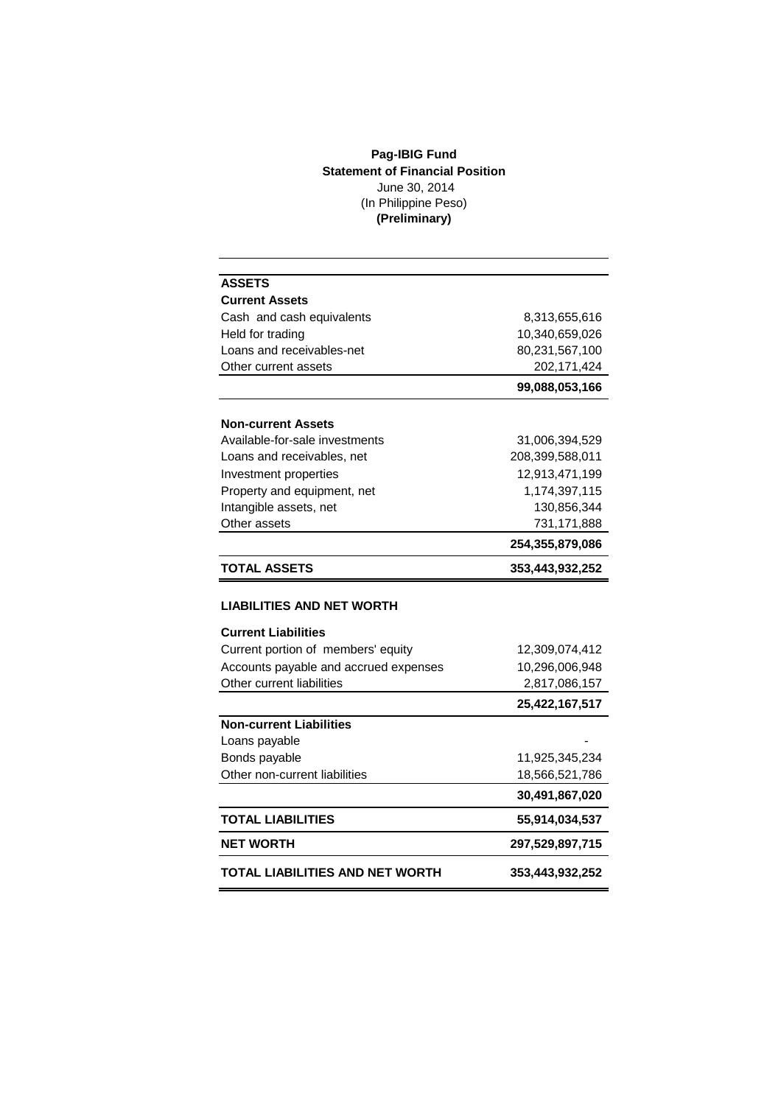## **Pag-IBIG Fund Statement of Financial Position** June 30, 2014 (In Philippine Peso) **(Preliminary)**

| <b>ASSETS</b>                         |                 |  |
|---------------------------------------|-----------------|--|
| <b>Current Assets</b>                 |                 |  |
| Cash and cash equivalents             | 8,313,655,616   |  |
| Held for trading                      | 10,340,659,026  |  |
| Loans and receivables-net             | 80,231,567,100  |  |
| Other current assets                  | 202, 171, 424   |  |
|                                       | 99,088,053,166  |  |
| <b>Non-current Assets</b>             |                 |  |
| Available-for-sale investments        | 31,006,394,529  |  |
| Loans and receivables, net            | 208,399,588,011 |  |
| Investment properties                 | 12,913,471,199  |  |
| Property and equipment, net           | 1,174,397,115   |  |
| Intangible assets, net                | 130,856,344     |  |
| Other assets                          | 731,171,888     |  |
|                                       | 254,355,879,086 |  |
| <b>TOTAL ASSETS</b>                   | 353,443,932,252 |  |
|                                       |                 |  |
| <b>LIABILITIES AND NET WORTH</b>      |                 |  |
| <b>Current Liabilities</b>            |                 |  |
| Current portion of members' equity    | 12,309,074,412  |  |
| Accounts payable and accrued expenses | 10,296,006,948  |  |
| Other current liabilities             | 2,817,086,157   |  |
|                                       | 25,422,167,517  |  |
| <b>Non-current Liabilities</b>        |                 |  |
| Loans payable                         |                 |  |
| Bonds payable                         | 11,925,345,234  |  |
| Other non-current liabilities         | 18,566,521,786  |  |
|                                       | 30,491,867,020  |  |
| <b>TOTAL LIABILITIES</b>              | 55,914,034,537  |  |
| <b>NET WORTH</b>                      | 297,529,897,715 |  |
| TOTAL LIABILITIES AND NET WORTH       | 353,443,932,252 |  |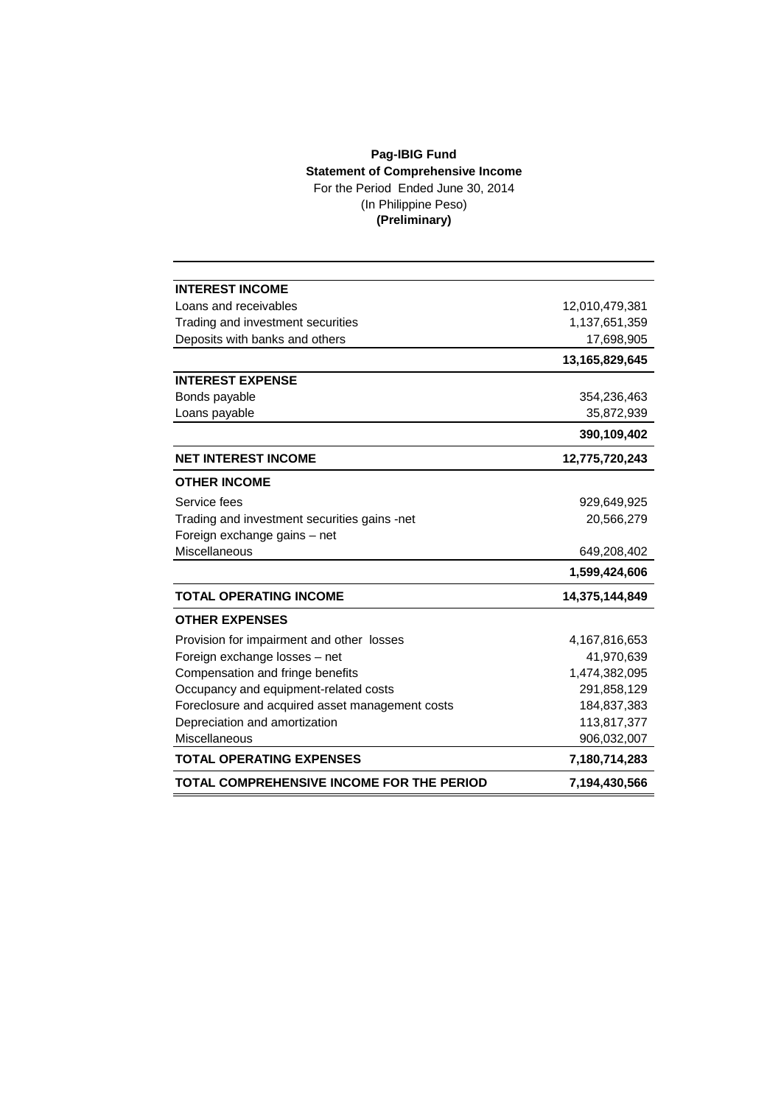## **Pag-IBIG Fund Statement of Comprehensive Income** For the Period Ended June 30, 2014 (In Philippine Peso)

**(Preliminary)**

| <b>INTEREST INCOME</b>                          |                |
|-------------------------------------------------|----------------|
| Loans and receivables                           | 12,010,479,381 |
| Trading and investment securities               | 1,137,651,359  |
| Deposits with banks and others                  | 17,698,905     |
|                                                 | 13,165,829,645 |
| <b>INTEREST EXPENSE</b>                         |                |
| Bonds payable                                   | 354,236,463    |
| Loans payable                                   | 35,872,939     |
|                                                 | 390,109,402    |
| <b>NET INTEREST INCOME</b>                      | 12,775,720,243 |
| <b>OTHER INCOME</b>                             |                |
| Service fees                                    | 929,649,925    |
| Trading and investment securities gains -net    | 20,566,279     |
| Foreign exchange gains - net                    |                |
| Miscellaneous                                   | 649,208,402    |
|                                                 | 1,599,424,606  |
| <b>TOTAL OPERATING INCOME</b>                   | 14,375,144,849 |
| <b>OTHER EXPENSES</b>                           |                |
| Provision for impairment and other losses       | 4,167,816,653  |
| Foreign exchange losses - net                   | 41,970,639     |
| Compensation and fringe benefits                | 1,474,382,095  |
| Occupancy and equipment-related costs           | 291,858,129    |
| Foreclosure and acquired asset management costs | 184,837,383    |
| Depreciation and amortization                   | 113,817,377    |
| Miscellaneous                                   | 906,032,007    |
| <b>TOTAL OPERATING EXPENSES</b>                 | 7,180,714,283  |
| TOTAL COMPREHENSIVE INCOME FOR THE PERIOD       | 7,194,430,566  |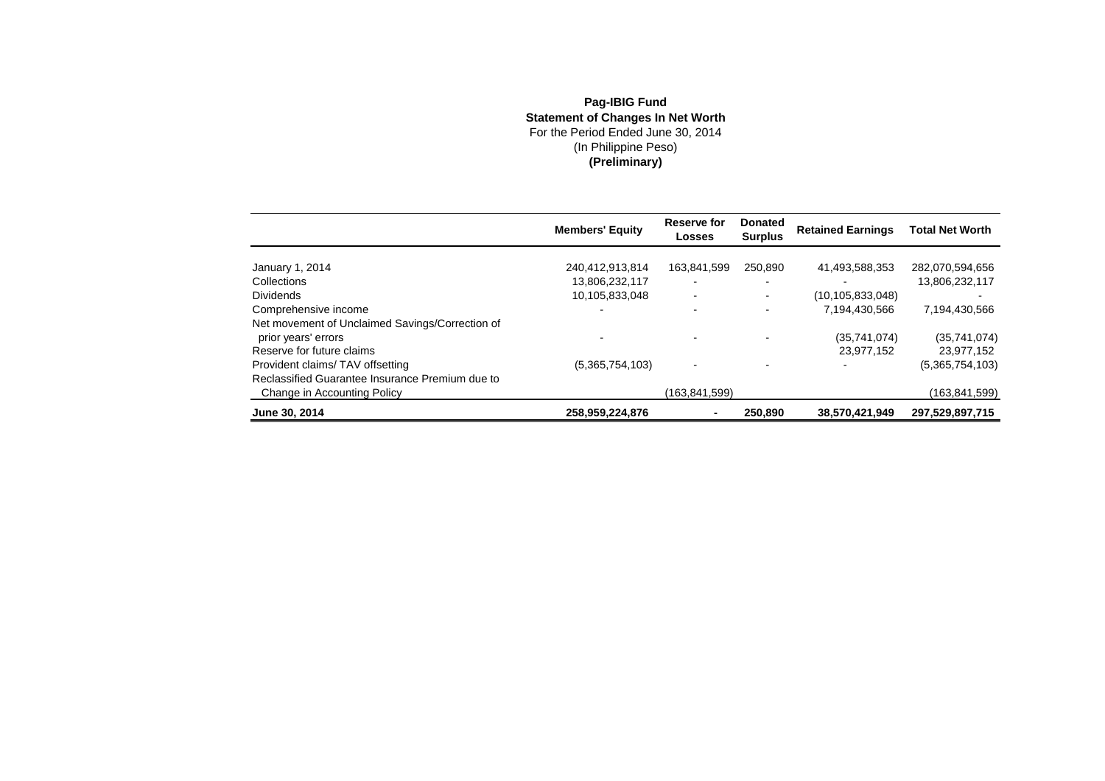## **Pag-IBIG Fund Statement of Changes In Net Worth** For the Period Ended June 30, 2014(In Philippine Peso) **(Preliminary)**

|                                                 | <b>Members' Equity</b> | Reserve for<br>Losses    | <b>Donated</b><br><b>Surplus</b> | <b>Retained Earnings</b> | <b>Total Net Worth</b> |
|-------------------------------------------------|------------------------|--------------------------|----------------------------------|--------------------------|------------------------|
|                                                 |                        |                          |                                  |                          |                        |
| January 1, 2014                                 | 240,412,913,814        | 163,841,599              | 250,890                          | 41,493,588,353           | 282,070,594,656        |
| Collections                                     | 13,806,232,117         | $\overline{\phantom{0}}$ |                                  |                          | 13,806,232,117         |
| <b>Dividends</b>                                | 10,105,833,048         | $\blacksquare$           |                                  | (10, 105, 833, 048)      |                        |
| Comprehensive income                            |                        | $\blacksquare$           |                                  | 7,194,430,566            | 7,194,430,566          |
| Net movement of Unclaimed Savings/Correction of |                        |                          |                                  |                          |                        |
| prior years' errors                             |                        | $\blacksquare$           |                                  | (35,741,074)             | (35,741,074)           |
| Reserve for future claims                       |                        |                          |                                  | 23.977.152               | 23,977,152             |
| Provident claims/TAV offsetting                 | (5,365,754,103)        | $\blacksquare$           |                                  |                          | (5,365,754,103)        |
| Reclassified Guarantee Insurance Premium due to |                        |                          |                                  |                          |                        |
| Change in Accounting Policy                     |                        | (163.841.599)            |                                  |                          | (163,841,599)          |
| June 30, 2014                                   | 258,959,224,876        | ۰                        | 250,890                          | 38,570,421,949           | 297,529,897,715        |